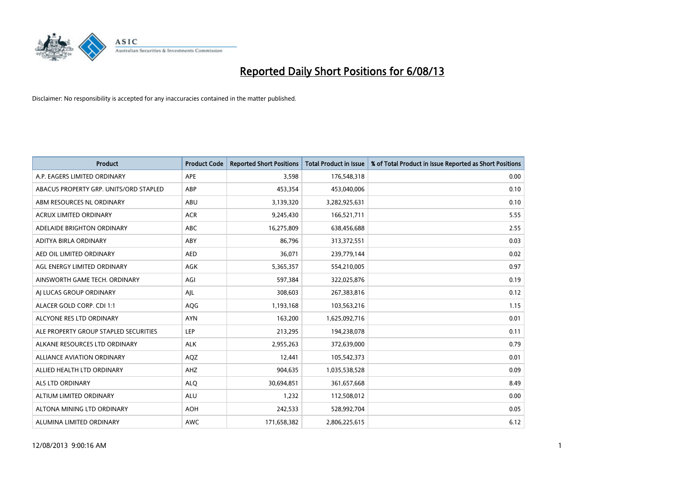

| <b>Product</b>                         | <b>Product Code</b> | <b>Reported Short Positions</b> | <b>Total Product in Issue</b> | % of Total Product in Issue Reported as Short Positions |
|----------------------------------------|---------------------|---------------------------------|-------------------------------|---------------------------------------------------------|
| A.P. EAGERS LIMITED ORDINARY           | <b>APE</b>          | 3,598                           | 176,548,318                   | 0.00                                                    |
| ABACUS PROPERTY GRP. UNITS/ORD STAPLED | ABP                 | 453,354                         | 453,040,006                   | 0.10                                                    |
| ABM RESOURCES NL ORDINARY              | ABU                 | 3,139,320                       | 3,282,925,631                 | 0.10                                                    |
| ACRUX LIMITED ORDINARY                 | <b>ACR</b>          | 9,245,430                       | 166,521,711                   | 5.55                                                    |
| ADELAIDE BRIGHTON ORDINARY             | <b>ABC</b>          | 16,275,809                      | 638,456,688                   | 2.55                                                    |
| ADITYA BIRLA ORDINARY                  | ABY                 | 86,796                          | 313,372,551                   | 0.03                                                    |
| AED OIL LIMITED ORDINARY               | <b>AED</b>          | 36,071                          | 239,779,144                   | 0.02                                                    |
| AGL ENERGY LIMITED ORDINARY            | AGK                 | 5,365,357                       | 554,210,005                   | 0.97                                                    |
| AINSWORTH GAME TECH. ORDINARY          | AGI                 | 597,384                         | 322,025,876                   | 0.19                                                    |
| AI LUCAS GROUP ORDINARY                | AJL                 | 308,603                         | 267,383,816                   | 0.12                                                    |
| ALACER GOLD CORP. CDI 1:1              | AQG                 | 1,193,168                       | 103,563,216                   | 1.15                                                    |
| ALCYONE RES LTD ORDINARY               | <b>AYN</b>          | 163,200                         | 1,625,092,716                 | 0.01                                                    |
| ALE PROPERTY GROUP STAPLED SECURITIES  | <b>LEP</b>          | 213,295                         | 194,238,078                   | 0.11                                                    |
| ALKANE RESOURCES LTD ORDINARY          | <b>ALK</b>          | 2,955,263                       | 372,639,000                   | 0.79                                                    |
| <b>ALLIANCE AVIATION ORDINARY</b>      | AQZ                 | 12,441                          | 105,542,373                   | 0.01                                                    |
| ALLIED HEALTH LTD ORDINARY             | AHZ                 | 904,635                         | 1,035,538,528                 | 0.09                                                    |
| ALS LTD ORDINARY                       | <b>ALQ</b>          | 30,694,851                      | 361,657,668                   | 8.49                                                    |
| ALTIUM LIMITED ORDINARY                | <b>ALU</b>          | 1,232                           | 112,508,012                   | 0.00                                                    |
| ALTONA MINING LTD ORDINARY             | <b>AOH</b>          | 242,533                         | 528,992,704                   | 0.05                                                    |
| ALUMINA LIMITED ORDINARY               | <b>AWC</b>          | 171,658,382                     | 2,806,225,615                 | 6.12                                                    |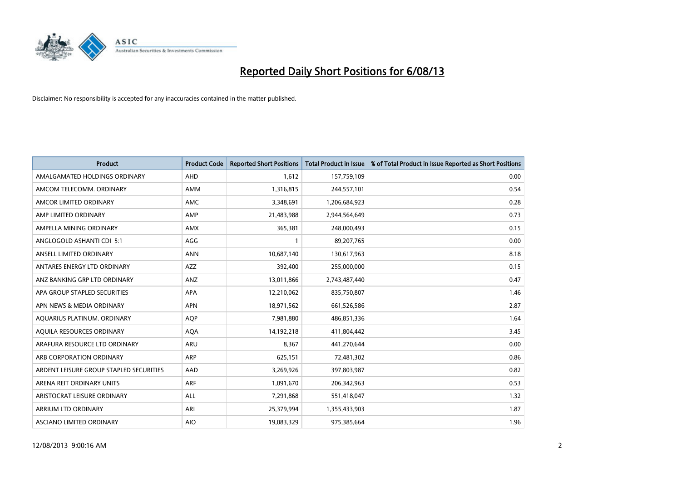

| <b>Product</b>                          | <b>Product Code</b> | <b>Reported Short Positions</b> | <b>Total Product in Issue</b> | % of Total Product in Issue Reported as Short Positions |
|-----------------------------------------|---------------------|---------------------------------|-------------------------------|---------------------------------------------------------|
| AMALGAMATED HOLDINGS ORDINARY           | AHD                 | 1,612                           | 157,759,109                   | 0.00                                                    |
| AMCOM TELECOMM. ORDINARY                | AMM                 | 1,316,815                       | 244,557,101                   | 0.54                                                    |
| AMCOR LIMITED ORDINARY                  | AMC                 | 3,348,691                       | 1,206,684,923                 | 0.28                                                    |
| AMP LIMITED ORDINARY                    | AMP                 | 21,483,988                      | 2,944,564,649                 | 0.73                                                    |
| AMPELLA MINING ORDINARY                 | <b>AMX</b>          | 365,381                         | 248,000,493                   | 0.15                                                    |
| ANGLOGOLD ASHANTI CDI 5:1               | AGG                 | $\mathbf{1}$                    | 89,207,765                    | 0.00                                                    |
| ANSELL LIMITED ORDINARY                 | <b>ANN</b>          | 10,687,140                      | 130,617,963                   | 8.18                                                    |
| ANTARES ENERGY LTD ORDINARY             | AZZ                 | 392,400                         | 255,000,000                   | 0.15                                                    |
| ANZ BANKING GRP LTD ORDINARY            | ANZ                 | 13,011,866                      | 2,743,487,440                 | 0.47                                                    |
| APA GROUP STAPLED SECURITIES            | <b>APA</b>          | 12,210,062                      | 835,750,807                   | 1.46                                                    |
| APN NEWS & MEDIA ORDINARY               | <b>APN</b>          | 18,971,562                      | 661,526,586                   | 2.87                                                    |
| AQUARIUS PLATINUM. ORDINARY             | AQP                 | 7,981,880                       | 486,851,336                   | 1.64                                                    |
| AQUILA RESOURCES ORDINARY               | <b>AQA</b>          | 14,192,218                      | 411,804,442                   | 3.45                                                    |
| ARAFURA RESOURCE LTD ORDINARY           | ARU                 | 8,367                           | 441,270,644                   | 0.00                                                    |
| ARB CORPORATION ORDINARY                | <b>ARP</b>          | 625,151                         | 72,481,302                    | 0.86                                                    |
| ARDENT LEISURE GROUP STAPLED SECURITIES | AAD                 | 3,269,926                       | 397,803,987                   | 0.82                                                    |
| ARENA REIT ORDINARY UNITS               | <b>ARF</b>          | 1,091,670                       | 206,342,963                   | 0.53                                                    |
| ARISTOCRAT LEISURE ORDINARY             | <b>ALL</b>          | 7,291,868                       | 551,418,047                   | 1.32                                                    |
| ARRIUM LTD ORDINARY                     | ARI                 | 25,379,994                      | 1,355,433,903                 | 1.87                                                    |
| ASCIANO LIMITED ORDINARY                | <b>AIO</b>          | 19,083,329                      | 975,385,664                   | 1.96                                                    |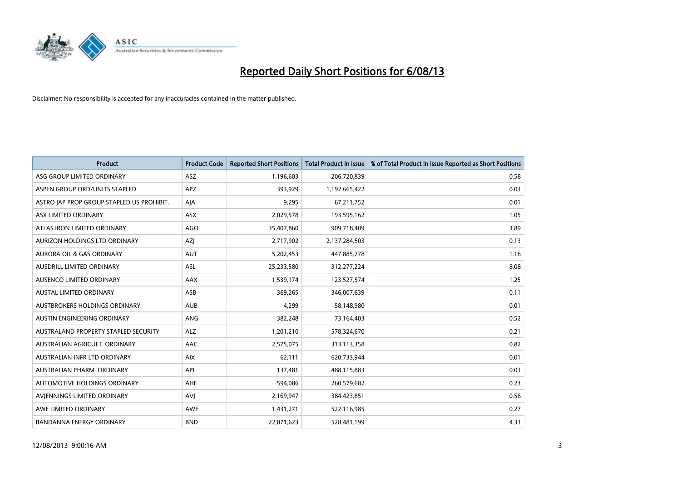

| <b>Product</b>                            | <b>Product Code</b> | <b>Reported Short Positions</b> | <b>Total Product in Issue</b> | % of Total Product in Issue Reported as Short Positions |
|-------------------------------------------|---------------------|---------------------------------|-------------------------------|---------------------------------------------------------|
| ASG GROUP LIMITED ORDINARY                | <b>ASZ</b>          | 1,196,603                       | 206,720,839                   | 0.58                                                    |
| ASPEN GROUP ORD/UNITS STAPLED             | <b>APZ</b>          | 393,929                         | 1,192,665,422                 | 0.03                                                    |
| ASTRO JAP PROP GROUP STAPLED US PROHIBIT. | AJA                 | 9,295                           | 67,211,752                    | 0.01                                                    |
| ASX LIMITED ORDINARY                      | ASX                 | 2,029,578                       | 193,595,162                   | 1.05                                                    |
| ATLAS IRON LIMITED ORDINARY               | <b>AGO</b>          | 35,407,860                      | 909,718,409                   | 3.89                                                    |
| AURIZON HOLDINGS LTD ORDINARY             | AZJ                 | 2,717,902                       | 2,137,284,503                 | 0.13                                                    |
| AURORA OIL & GAS ORDINARY                 | <b>AUT</b>          | 5,202,453                       | 447,885,778                   | 1.16                                                    |
| AUSDRILL LIMITED ORDINARY                 | ASL                 | 25,233,580                      | 312,277,224                   | 8.08                                                    |
| AUSENCO LIMITED ORDINARY                  | AAX                 | 1,539,174                       | 123,527,574                   | 1.25                                                    |
| <b>AUSTAL LIMITED ORDINARY</b>            | ASB                 | 369,265                         | 346,007,639                   | 0.11                                                    |
| AUSTBROKERS HOLDINGS ORDINARY             | <b>AUB</b>          | 4,299                           | 58,148,980                    | 0.01                                                    |
| AUSTIN ENGINEERING ORDINARY               | <b>ANG</b>          | 382,248                         | 73,164,403                    | 0.52                                                    |
| AUSTRALAND PROPERTY STAPLED SECURITY      | <b>ALZ</b>          | 1,201,210                       | 578,324,670                   | 0.21                                                    |
| AUSTRALIAN AGRICULT. ORDINARY             | AAC                 | 2,575,075                       | 313,113,358                   | 0.82                                                    |
| AUSTRALIAN INFR LTD ORDINARY              | <b>AIX</b>          | 62,111                          | 620,733,944                   | 0.01                                                    |
| AUSTRALIAN PHARM. ORDINARY                | API                 | 137,481                         | 488,115,883                   | 0.03                                                    |
| AUTOMOTIVE HOLDINGS ORDINARY              | AHE                 | 594,086                         | 260,579,682                   | 0.23                                                    |
| AVJENNINGS LIMITED ORDINARY               | <b>AVJ</b>          | 2,169,947                       | 384,423,851                   | 0.56                                                    |
| AWE LIMITED ORDINARY                      | <b>AWE</b>          | 1,431,271                       | 522,116,985                   | 0.27                                                    |
| BANDANNA ENERGY ORDINARY                  | <b>BND</b>          | 22,871,623                      | 528,481,199                   | 4.33                                                    |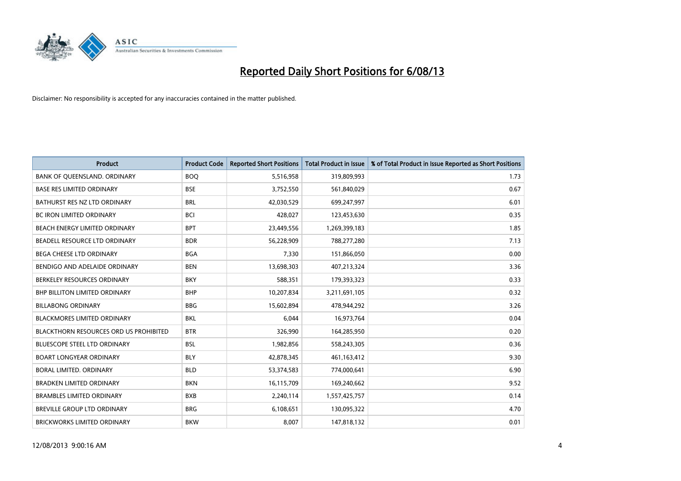

| <b>Product</b>                                | <b>Product Code</b> | <b>Reported Short Positions</b> | <b>Total Product in Issue</b> | % of Total Product in Issue Reported as Short Positions |
|-----------------------------------------------|---------------------|---------------------------------|-------------------------------|---------------------------------------------------------|
| BANK OF QUEENSLAND. ORDINARY                  | <b>BOQ</b>          | 5,516,958                       | 319,809,993                   | 1.73                                                    |
| <b>BASE RES LIMITED ORDINARY</b>              | <b>BSE</b>          | 3,752,550                       | 561,840,029                   | 0.67                                                    |
| BATHURST RES NZ LTD ORDINARY                  | <b>BRL</b>          | 42,030,529                      | 699,247,997                   | 6.01                                                    |
| BC IRON LIMITED ORDINARY                      | <b>BCI</b>          | 428,027                         | 123,453,630                   | 0.35                                                    |
| BEACH ENERGY LIMITED ORDINARY                 | <b>BPT</b>          | 23,449,556                      | 1,269,399,183                 | 1.85                                                    |
| BEADELL RESOURCE LTD ORDINARY                 | <b>BDR</b>          | 56,228,909                      | 788,277,280                   | 7.13                                                    |
| BEGA CHEESE LTD ORDINARY                      | <b>BGA</b>          | 7,330                           | 151,866,050                   | 0.00                                                    |
| BENDIGO AND ADELAIDE ORDINARY                 | <b>BEN</b>          | 13,698,303                      | 407,213,324                   | 3.36                                                    |
| BERKELEY RESOURCES ORDINARY                   | <b>BKY</b>          | 588,351                         | 179,393,323                   | 0.33                                                    |
| <b>BHP BILLITON LIMITED ORDINARY</b>          | <b>BHP</b>          | 10,207,834                      | 3,211,691,105                 | 0.32                                                    |
| <b>BILLABONG ORDINARY</b>                     | <b>BBG</b>          | 15,602,894                      | 478,944,292                   | 3.26                                                    |
| BLACKMORES LIMITED ORDINARY                   | <b>BKL</b>          | 6,044                           | 16,973,764                    | 0.04                                                    |
| <b>BLACKTHORN RESOURCES ORD US PROHIBITED</b> | <b>BTR</b>          | 326,990                         | 164,285,950                   | 0.20                                                    |
| <b>BLUESCOPE STEEL LTD ORDINARY</b>           | <b>BSL</b>          | 1,982,856                       | 558,243,305                   | 0.36                                                    |
| <b>BOART LONGYEAR ORDINARY</b>                | <b>BLY</b>          | 42,878,345                      | 461,163,412                   | 9.30                                                    |
| BORAL LIMITED. ORDINARY                       | <b>BLD</b>          | 53,374,583                      | 774,000,641                   | 6.90                                                    |
| <b>BRADKEN LIMITED ORDINARY</b>               | <b>BKN</b>          | 16,115,709                      | 169,240,662                   | 9.52                                                    |
| <b>BRAMBLES LIMITED ORDINARY</b>              | <b>BXB</b>          | 2,240,114                       | 1,557,425,757                 | 0.14                                                    |
| <b>BREVILLE GROUP LTD ORDINARY</b>            | <b>BRG</b>          | 6,108,651                       | 130,095,322                   | 4.70                                                    |
| <b>BRICKWORKS LIMITED ORDINARY</b>            | <b>BKW</b>          | 8,007                           | 147,818,132                   | 0.01                                                    |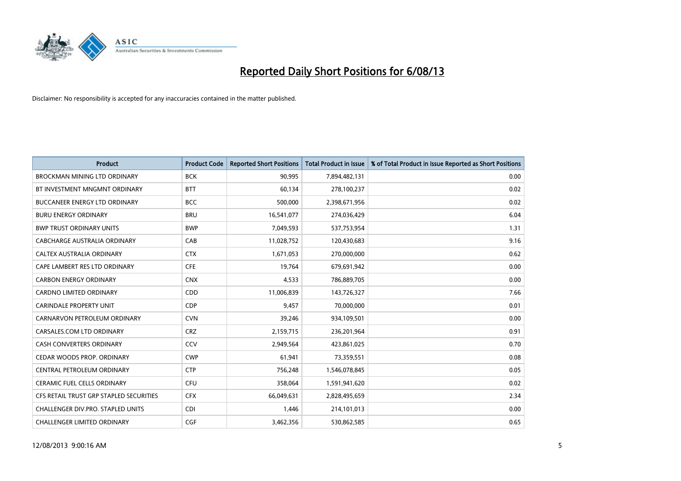

| <b>Product</b>                          | <b>Product Code</b> | <b>Reported Short Positions</b> | <b>Total Product in Issue</b> | % of Total Product in Issue Reported as Short Positions |
|-----------------------------------------|---------------------|---------------------------------|-------------------------------|---------------------------------------------------------|
| <b>BROCKMAN MINING LTD ORDINARY</b>     | <b>BCK</b>          | 90,995                          | 7,894,482,131                 | 0.00                                                    |
| BT INVESTMENT MNGMNT ORDINARY           | <b>BTT</b>          | 60,134                          | 278,100,237                   | 0.02                                                    |
| <b>BUCCANEER ENERGY LTD ORDINARY</b>    | <b>BCC</b>          | 500,000                         | 2,398,671,956                 | 0.02                                                    |
| <b>BURU ENERGY ORDINARY</b>             | <b>BRU</b>          | 16,541,077                      | 274,036,429                   | 6.04                                                    |
| <b>BWP TRUST ORDINARY UNITS</b>         | <b>BWP</b>          | 7,049,593                       | 537,753,954                   | 1.31                                                    |
| <b>CABCHARGE AUSTRALIA ORDINARY</b>     | CAB                 | 11,028,752                      | 120,430,683                   | 9.16                                                    |
| CALTEX AUSTRALIA ORDINARY               | <b>CTX</b>          | 1,671,053                       | 270,000,000                   | 0.62                                                    |
| CAPE LAMBERT RES LTD ORDINARY           | <b>CFE</b>          | 19,764                          | 679,691,942                   | 0.00                                                    |
| <b>CARBON ENERGY ORDINARY</b>           | <b>CNX</b>          | 4,533                           | 786,889,705                   | 0.00                                                    |
| <b>CARDNO LIMITED ORDINARY</b>          | CDD                 | 11,006,839                      | 143,726,327                   | 7.66                                                    |
| <b>CARINDALE PROPERTY UNIT</b>          | <b>CDP</b>          | 9,457                           | 70,000,000                    | 0.01                                                    |
| CARNARVON PETROLEUM ORDINARY            | <b>CVN</b>          | 39,246                          | 934,109,501                   | 0.00                                                    |
| CARSALES.COM LTD ORDINARY               | <b>CRZ</b>          | 2,159,715                       | 236,201,964                   | 0.91                                                    |
| <b>CASH CONVERTERS ORDINARY</b>         | CCV                 | 2,949,564                       | 423,861,025                   | 0.70                                                    |
| CEDAR WOODS PROP. ORDINARY              | <b>CWP</b>          | 61,941                          | 73,359,551                    | 0.08                                                    |
| CENTRAL PETROLEUM ORDINARY              | <b>CTP</b>          | 756,248                         | 1,546,078,845                 | 0.05                                                    |
| CERAMIC FUEL CELLS ORDINARY             | <b>CFU</b>          | 358,064                         | 1,591,941,620                 | 0.02                                                    |
| CFS RETAIL TRUST GRP STAPLED SECURITIES | <b>CFX</b>          | 66,049,631                      | 2,828,495,659                 | 2.34                                                    |
| CHALLENGER DIV.PRO. STAPLED UNITS       | <b>CDI</b>          | 1,446                           | 214,101,013                   | 0.00                                                    |
| CHALLENGER LIMITED ORDINARY             | <b>CGF</b>          | 3,462,356                       | 530,862,585                   | 0.65                                                    |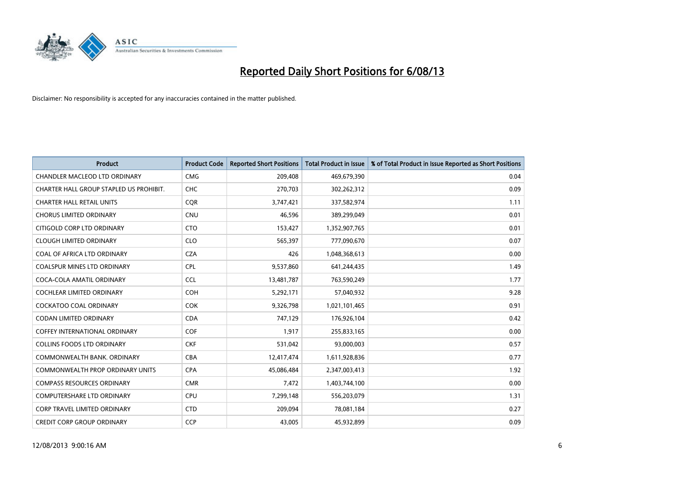

| <b>Product</b>                          | <b>Product Code</b> | <b>Reported Short Positions</b> | <b>Total Product in Issue</b> | % of Total Product in Issue Reported as Short Positions |
|-----------------------------------------|---------------------|---------------------------------|-------------------------------|---------------------------------------------------------|
| CHANDLER MACLEOD LTD ORDINARY           | <b>CMG</b>          | 209,408                         | 469,679,390                   | 0.04                                                    |
| CHARTER HALL GROUP STAPLED US PROHIBIT. | <b>CHC</b>          | 270,703                         | 302,262,312                   | 0.09                                                    |
| <b>CHARTER HALL RETAIL UNITS</b>        | <b>COR</b>          | 3,747,421                       | 337,582,974                   | 1.11                                                    |
| <b>CHORUS LIMITED ORDINARY</b>          | <b>CNU</b>          | 46,596                          | 389,299,049                   | 0.01                                                    |
| CITIGOLD CORP LTD ORDINARY              | <b>CTO</b>          | 153,427                         | 1,352,907,765                 | 0.01                                                    |
| <b>CLOUGH LIMITED ORDINARY</b>          | <b>CLO</b>          | 565,397                         | 777,090,670                   | 0.07                                                    |
| COAL OF AFRICA LTD ORDINARY             | <b>CZA</b>          | 426                             | 1,048,368,613                 | 0.00                                                    |
| COALSPUR MINES LTD ORDINARY             | <b>CPL</b>          | 9,537,860                       | 641,244,435                   | 1.49                                                    |
| COCA-COLA AMATIL ORDINARY               | <b>CCL</b>          | 13,481,787                      | 763,590,249                   | 1.77                                                    |
| <b>COCHLEAR LIMITED ORDINARY</b>        | <b>COH</b>          | 5,292,171                       | 57,040,932                    | 9.28                                                    |
| COCKATOO COAL ORDINARY                  | <b>COK</b>          | 9,326,798                       | 1,021,101,465                 | 0.91                                                    |
| CODAN LIMITED ORDINARY                  | <b>CDA</b>          | 747,129                         | 176,926,104                   | 0.42                                                    |
| <b>COFFEY INTERNATIONAL ORDINARY</b>    | <b>COF</b>          | 1,917                           | 255,833,165                   | 0.00                                                    |
| <b>COLLINS FOODS LTD ORDINARY</b>       | <b>CKF</b>          | 531,042                         | 93,000,003                    | 0.57                                                    |
| COMMONWEALTH BANK, ORDINARY             | <b>CBA</b>          | 12,417,474                      | 1,611,928,836                 | 0.77                                                    |
| <b>COMMONWEALTH PROP ORDINARY UNITS</b> | <b>CPA</b>          | 45,086,484                      | 2,347,003,413                 | 1.92                                                    |
| <b>COMPASS RESOURCES ORDINARY</b>       | <b>CMR</b>          | 7,472                           | 1,403,744,100                 | 0.00                                                    |
| <b>COMPUTERSHARE LTD ORDINARY</b>       | <b>CPU</b>          | 7,299,148                       | 556,203,079                   | 1.31                                                    |
| <b>CORP TRAVEL LIMITED ORDINARY</b>     | <b>CTD</b>          | 209,094                         | 78,081,184                    | 0.27                                                    |
| <b>CREDIT CORP GROUP ORDINARY</b>       | <b>CCP</b>          | 43,005                          | 45,932,899                    | 0.09                                                    |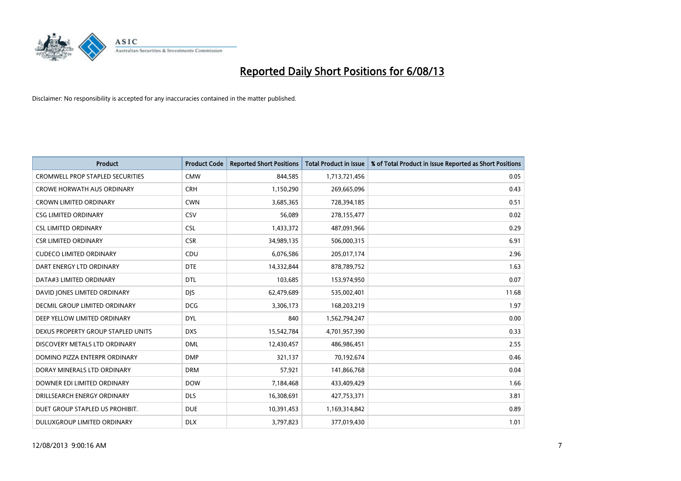

| <b>Product</b>                          | <b>Product Code</b> | <b>Reported Short Positions</b> | <b>Total Product in Issue</b> | % of Total Product in Issue Reported as Short Positions |
|-----------------------------------------|---------------------|---------------------------------|-------------------------------|---------------------------------------------------------|
| <b>CROMWELL PROP STAPLED SECURITIES</b> | <b>CMW</b>          | 844,585                         | 1,713,721,456                 | 0.05                                                    |
| <b>CROWE HORWATH AUS ORDINARY</b>       | <b>CRH</b>          | 1,150,290                       | 269,665,096                   | 0.43                                                    |
| <b>CROWN LIMITED ORDINARY</b>           | <b>CWN</b>          | 3,685,365                       | 728,394,185                   | 0.51                                                    |
| <b>CSG LIMITED ORDINARY</b>             | CSV                 | 56,089                          | 278,155,477                   | 0.02                                                    |
| <b>CSL LIMITED ORDINARY</b>             | <b>CSL</b>          | 1,433,372                       | 487,091,966                   | 0.29                                                    |
| <b>CSR LIMITED ORDINARY</b>             | <b>CSR</b>          | 34,989,135                      | 506,000,315                   | 6.91                                                    |
| <b>CUDECO LIMITED ORDINARY</b>          | CDU                 | 6,076,586                       | 205,017,174                   | 2.96                                                    |
| DART ENERGY LTD ORDINARY                | <b>DTE</b>          | 14,332,844                      | 878,789,752                   | 1.63                                                    |
| DATA#3 LIMITED ORDINARY                 | DTL                 | 103,685                         | 153,974,950                   | 0.07                                                    |
| DAVID JONES LIMITED ORDINARY            | <b>DJS</b>          | 62,479,689                      | 535,002,401                   | 11.68                                                   |
| <b>DECMIL GROUP LIMITED ORDINARY</b>    | <b>DCG</b>          | 3,306,173                       | 168,203,219                   | 1.97                                                    |
| DEEP YELLOW LIMITED ORDINARY            | <b>DYL</b>          | 840                             | 1,562,794,247                 | 0.00                                                    |
| DEXUS PROPERTY GROUP STAPLED UNITS      | <b>DXS</b>          | 15,542,784                      | 4,701,957,390                 | 0.33                                                    |
| DISCOVERY METALS LTD ORDINARY           | <b>DML</b>          | 12,430,457                      | 486,986,451                   | 2.55                                                    |
| DOMINO PIZZA ENTERPR ORDINARY           | <b>DMP</b>          | 321,137                         | 70,192,674                    | 0.46                                                    |
| DORAY MINERALS LTD ORDINARY             | <b>DRM</b>          | 57,921                          | 141,866,768                   | 0.04                                                    |
| DOWNER EDI LIMITED ORDINARY             | <b>DOW</b>          | 7,184,468                       | 433,409,429                   | 1.66                                                    |
| DRILLSEARCH ENERGY ORDINARY             | <b>DLS</b>          | 16,308,691                      | 427,753,371                   | 3.81                                                    |
| DUET GROUP STAPLED US PROHIBIT.         | <b>DUE</b>          | 10,391,453                      | 1,169,314,842                 | 0.89                                                    |
| <b>DULUXGROUP LIMITED ORDINARY</b>      | <b>DLX</b>          | 3,797,823                       | 377,019,430                   | 1.01                                                    |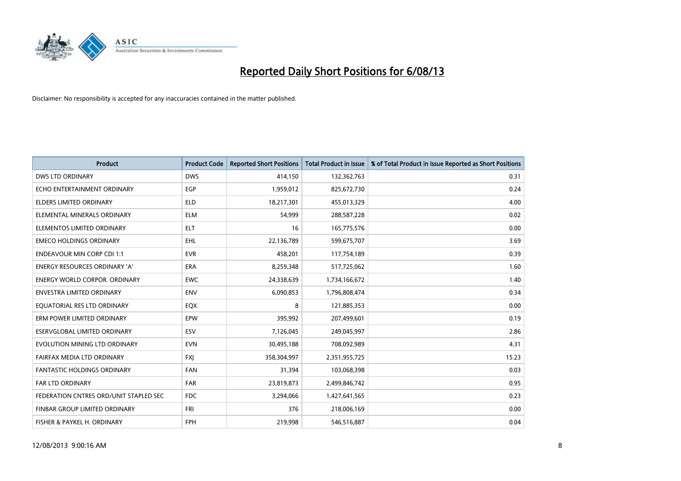

| <b>Product</b>                         | <b>Product Code</b> | <b>Reported Short Positions</b> | <b>Total Product in Issue</b> | % of Total Product in Issue Reported as Short Positions |
|----------------------------------------|---------------------|---------------------------------|-------------------------------|---------------------------------------------------------|
| <b>DWS LTD ORDINARY</b>                | <b>DWS</b>          | 414,150                         | 132,362,763                   | 0.31                                                    |
| ECHO ENTERTAINMENT ORDINARY            | EGP                 | 1,959,012                       | 825,672,730                   | 0.24                                                    |
| <b>ELDERS LIMITED ORDINARY</b>         | <b>ELD</b>          | 18,217,301                      | 455,013,329                   | 4.00                                                    |
| ELEMENTAL MINERALS ORDINARY            | <b>ELM</b>          | 54,999                          | 288,587,228                   | 0.02                                                    |
| ELEMENTOS LIMITED ORDINARY             | <b>ELT</b>          | 16                              | 165,775,576                   | 0.00                                                    |
| <b>EMECO HOLDINGS ORDINARY</b>         | <b>EHL</b>          | 22,136,789                      | 599,675,707                   | 3.69                                                    |
| <b>ENDEAVOUR MIN CORP CDI 1:1</b>      | <b>EVR</b>          | 458,201                         | 117,754,189                   | 0.39                                                    |
| ENERGY RESOURCES ORDINARY 'A'          | <b>ERA</b>          | 8,259,348                       | 517,725,062                   | 1.60                                                    |
| <b>ENERGY WORLD CORPOR, ORDINARY</b>   | <b>EWC</b>          | 24,338,639                      | 1,734,166,672                 | 1.40                                                    |
| <b>ENVESTRA LIMITED ORDINARY</b>       | <b>ENV</b>          | 6,090,853                       | 1,796,808,474                 | 0.34                                                    |
| EQUATORIAL RES LTD ORDINARY            | EQX                 | 8                               | 121,885,353                   | 0.00                                                    |
| ERM POWER LIMITED ORDINARY             | EPW                 | 395,992                         | 207,499,601                   | 0.19                                                    |
| ESERVGLOBAL LIMITED ORDINARY           | ESV                 | 7,126,045                       | 249,045,997                   | 2.86                                                    |
| EVOLUTION MINING LTD ORDINARY          | <b>EVN</b>          | 30,495,188                      | 708,092,989                   | 4.31                                                    |
| FAIRFAX MEDIA LTD ORDINARY             | <b>FXJ</b>          | 358,304,997                     | 2,351,955,725                 | 15.23                                                   |
| FANTASTIC HOLDINGS ORDINARY            | <b>FAN</b>          | 31,394                          | 103,068,398                   | 0.03                                                    |
| <b>FAR LTD ORDINARY</b>                | <b>FAR</b>          | 23,819,873                      | 2,499,846,742                 | 0.95                                                    |
| FEDERATION CNTRES ORD/UNIT STAPLED SEC | <b>FDC</b>          | 3,294,066                       | 1,427,641,565                 | 0.23                                                    |
| FINBAR GROUP LIMITED ORDINARY          | <b>FRI</b>          | 376                             | 218,006,169                   | 0.00                                                    |
| FISHER & PAYKEL H. ORDINARY            | FPH                 | 219,998                         | 546,516,887                   | 0.04                                                    |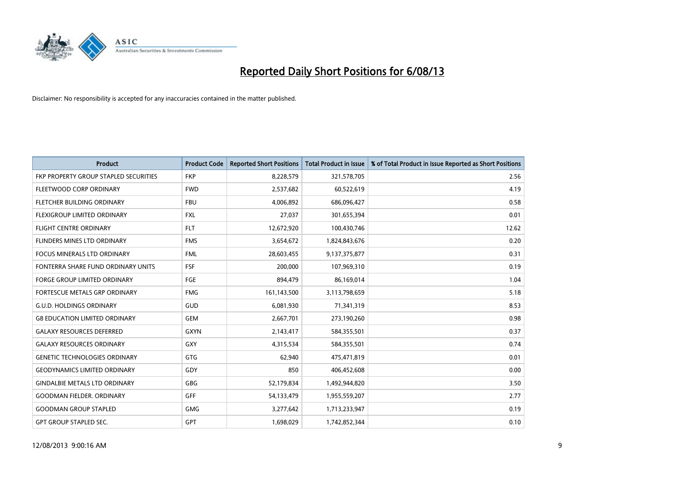

| <b>Product</b>                        | <b>Product Code</b> | <b>Reported Short Positions</b> | <b>Total Product in Issue</b> | % of Total Product in Issue Reported as Short Positions |
|---------------------------------------|---------------------|---------------------------------|-------------------------------|---------------------------------------------------------|
| FKP PROPERTY GROUP STAPLED SECURITIES | <b>FKP</b>          | 8,228,579                       | 321,578,705                   | 2.56                                                    |
| FLEETWOOD CORP ORDINARY               | <b>FWD</b>          | 2,537,682                       | 60,522,619                    | 4.19                                                    |
| FLETCHER BUILDING ORDINARY            | <b>FBU</b>          | 4,006,892                       | 686,096,427                   | 0.58                                                    |
| FLEXIGROUP LIMITED ORDINARY           | <b>FXL</b>          | 27,037                          | 301,655,394                   | 0.01                                                    |
| <b>FLIGHT CENTRE ORDINARY</b>         | <b>FLT</b>          | 12,672,920                      | 100,430,746                   | 12.62                                                   |
| FLINDERS MINES LTD ORDINARY           | <b>FMS</b>          | 3,654,672                       | 1,824,843,676                 | 0.20                                                    |
| FOCUS MINERALS LTD ORDINARY           | <b>FML</b>          | 28,603,455                      | 9,137,375,877                 | 0.31                                                    |
| FONTERRA SHARE FUND ORDINARY UNITS    | <b>FSF</b>          | 200,000                         | 107,969,310                   | 0.19                                                    |
| FORGE GROUP LIMITED ORDINARY          | FGE                 | 894,479                         | 86,169,014                    | 1.04                                                    |
| FORTESCUE METALS GRP ORDINARY         | <b>FMG</b>          | 161,143,500                     | 3,113,798,659                 | 5.18                                                    |
| <b>G.U.D. HOLDINGS ORDINARY</b>       | GUD                 | 6,081,930                       | 71,341,319                    | 8.53                                                    |
| <b>G8 EDUCATION LIMITED ORDINARY</b>  | GEM                 | 2,667,701                       | 273,190,260                   | 0.98                                                    |
| <b>GALAXY RESOURCES DEFERRED</b>      | <b>GXYN</b>         | 2,143,417                       | 584,355,501                   | 0.37                                                    |
| <b>GALAXY RESOURCES ORDINARY</b>      | GXY                 | 4,315,534                       | 584,355,501                   | 0.74                                                    |
| <b>GENETIC TECHNOLOGIES ORDINARY</b>  | GTG                 | 62,940                          | 475,471,819                   | 0.01                                                    |
| <b>GEODYNAMICS LIMITED ORDINARY</b>   | GDY                 | 850                             | 406,452,608                   | 0.00                                                    |
| <b>GINDALBIE METALS LTD ORDINARY</b>  | GBG                 | 52,179,834                      | 1,492,944,820                 | 3.50                                                    |
| <b>GOODMAN FIELDER, ORDINARY</b>      | <b>GFF</b>          | 54,133,479                      | 1,955,559,207                 | 2.77                                                    |
| <b>GOODMAN GROUP STAPLED</b>          | <b>GMG</b>          | 3,277,642                       | 1,713,233,947                 | 0.19                                                    |
| <b>GPT GROUP STAPLED SEC.</b>         | <b>GPT</b>          | 1,698,029                       | 1,742,852,344                 | 0.10                                                    |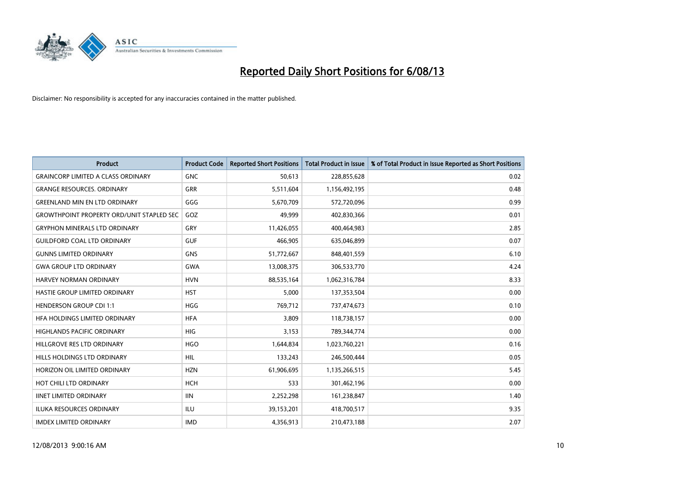

| <b>Product</b>                                   | <b>Product Code</b> | <b>Reported Short Positions</b> | <b>Total Product in Issue</b> | % of Total Product in Issue Reported as Short Positions |
|--------------------------------------------------|---------------------|---------------------------------|-------------------------------|---------------------------------------------------------|
| <b>GRAINCORP LIMITED A CLASS ORDINARY</b>        | <b>GNC</b>          | 50,613                          | 228,855,628                   | 0.02                                                    |
| <b>GRANGE RESOURCES. ORDINARY</b>                | GRR                 | 5,511,604                       | 1,156,492,195                 | 0.48                                                    |
| <b>GREENLAND MIN EN LTD ORDINARY</b>             | GGG                 | 5,670,709                       | 572,720,096                   | 0.99                                                    |
| <b>GROWTHPOINT PROPERTY ORD/UNIT STAPLED SEC</b> | GOZ                 | 49,999                          | 402,830,366                   | 0.01                                                    |
| <b>GRYPHON MINERALS LTD ORDINARY</b>             | GRY                 | 11,426,055                      | 400,464,983                   | 2.85                                                    |
| <b>GUILDFORD COAL LTD ORDINARY</b>               | <b>GUF</b>          | 466,905                         | 635,046,899                   | 0.07                                                    |
| <b>GUNNS LIMITED ORDINARY</b>                    | <b>GNS</b>          | 51,772,667                      | 848,401,559                   | 6.10                                                    |
| <b>GWA GROUP LTD ORDINARY</b>                    | <b>GWA</b>          | 13,008,375                      | 306,533,770                   | 4.24                                                    |
| <b>HARVEY NORMAN ORDINARY</b>                    | <b>HVN</b>          | 88,535,164                      | 1,062,316,784                 | 8.33                                                    |
| HASTIE GROUP LIMITED ORDINARY                    | <b>HST</b>          | 5,000                           | 137,353,504                   | 0.00                                                    |
| <b>HENDERSON GROUP CDI 1:1</b>                   | <b>HGG</b>          | 769,712                         | 737,474,673                   | 0.10                                                    |
| HFA HOLDINGS LIMITED ORDINARY                    | <b>HFA</b>          | 3,809                           | 118,738,157                   | 0.00                                                    |
| HIGHLANDS PACIFIC ORDINARY                       | <b>HIG</b>          | 3,153                           | 789,344,774                   | 0.00                                                    |
| HILLGROVE RES LTD ORDINARY                       | <b>HGO</b>          | 1,644,834                       | 1,023,760,221                 | 0.16                                                    |
| HILLS HOLDINGS LTD ORDINARY                      | <b>HIL</b>          | 133,243                         | 246,500,444                   | 0.05                                                    |
| HORIZON OIL LIMITED ORDINARY                     | <b>HZN</b>          | 61,906,695                      | 1,135,266,515                 | 5.45                                                    |
| HOT CHILI LTD ORDINARY                           | <b>HCH</b>          | 533                             | 301,462,196                   | 0.00                                                    |
| <b>IINET LIMITED ORDINARY</b>                    | <b>IIN</b>          | 2,252,298                       | 161,238,847                   | 1.40                                                    |
| <b>ILUKA RESOURCES ORDINARY</b>                  | ILU                 | 39,153,201                      | 418,700,517                   | 9.35                                                    |
| <b>IMDEX LIMITED ORDINARY</b>                    | <b>IMD</b>          | 4,356,913                       | 210,473,188                   | 2.07                                                    |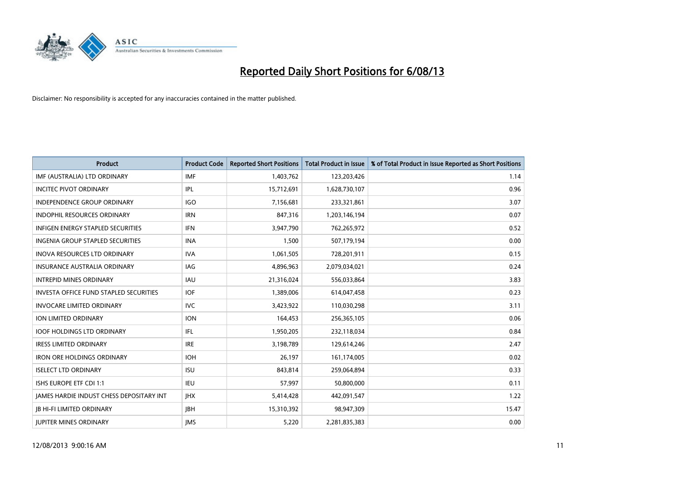

| <b>Product</b>                           | <b>Product Code</b> | <b>Reported Short Positions</b> | <b>Total Product in Issue</b> | % of Total Product in Issue Reported as Short Positions |
|------------------------------------------|---------------------|---------------------------------|-------------------------------|---------------------------------------------------------|
| IMF (AUSTRALIA) LTD ORDINARY             | <b>IMF</b>          | 1,403,762                       | 123,203,426                   | 1.14                                                    |
| <b>INCITEC PIVOT ORDINARY</b>            | IPL                 | 15,712,691                      | 1,628,730,107                 | 0.96                                                    |
| <b>INDEPENDENCE GROUP ORDINARY</b>       | <b>IGO</b>          | 7,156,681                       | 233,321,861                   | 3.07                                                    |
| INDOPHIL RESOURCES ORDINARY              | <b>IRN</b>          | 847,316                         | 1,203,146,194                 | 0.07                                                    |
| <b>INFIGEN ENERGY STAPLED SECURITIES</b> | <b>IFN</b>          | 3,947,790                       | 762,265,972                   | 0.52                                                    |
| INGENIA GROUP STAPLED SECURITIES         | <b>INA</b>          | 1,500                           | 507,179,194                   | 0.00                                                    |
| <b>INOVA RESOURCES LTD ORDINARY</b>      | <b>IVA</b>          | 1,061,505                       | 728,201,911                   | 0.15                                                    |
| <b>INSURANCE AUSTRALIA ORDINARY</b>      | IAG                 | 4,896,963                       | 2,079,034,021                 | 0.24                                                    |
| <b>INTREPID MINES ORDINARY</b>           | IAU                 | 21,316,024                      | 556,033,864                   | 3.83                                                    |
| INVESTA OFFICE FUND STAPLED SECURITIES   | <b>IOF</b>          | 1,389,006                       | 614,047,458                   | 0.23                                                    |
| <b>INVOCARE LIMITED ORDINARY</b>         | <b>IVC</b>          | 3,423,922                       | 110,030,298                   | 3.11                                                    |
| ION LIMITED ORDINARY                     | <b>ION</b>          | 164,453                         | 256,365,105                   | 0.06                                                    |
| <b>IOOF HOLDINGS LTD ORDINARY</b>        | IFL                 | 1,950,205                       | 232,118,034                   | 0.84                                                    |
| <b>IRESS LIMITED ORDINARY</b>            | <b>IRE</b>          | 3,198,789                       | 129,614,246                   | 2.47                                                    |
| <b>IRON ORE HOLDINGS ORDINARY</b>        | <b>IOH</b>          | 26,197                          | 161,174,005                   | 0.02                                                    |
| <b>ISELECT LTD ORDINARY</b>              | <b>ISU</b>          | 843,814                         | 259,064,894                   | 0.33                                                    |
| ISHS EUROPE ETF CDI 1:1                  | <b>IEU</b>          | 57,997                          | 50,800,000                    | 0.11                                                    |
| JAMES HARDIE INDUST CHESS DEPOSITARY INT | <b>IHX</b>          | 5,414,428                       | 442,091,547                   | 1.22                                                    |
| <b>IB HI-FI LIMITED ORDINARY</b>         | <b>JBH</b>          | 15,310,392                      | 98,947,309                    | 15.47                                                   |
| <b>IUPITER MINES ORDINARY</b>            | <b>IMS</b>          | 5,220                           | 2,281,835,383                 | 0.00                                                    |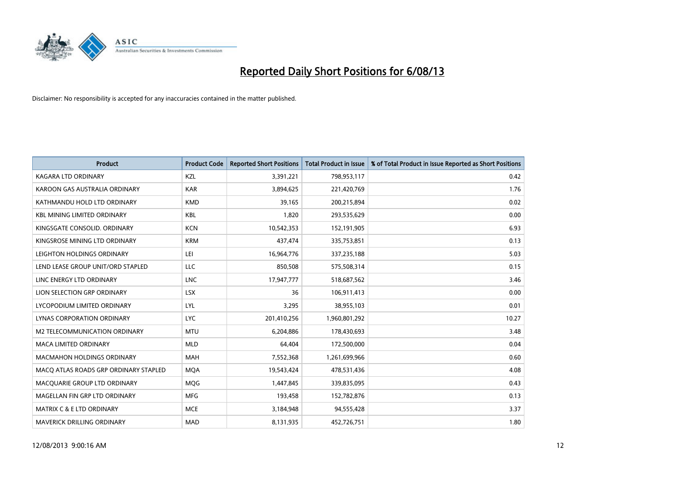

| <b>Product</b>                        | <b>Product Code</b> | <b>Reported Short Positions</b> | <b>Total Product in Issue</b> | % of Total Product in Issue Reported as Short Positions |
|---------------------------------------|---------------------|---------------------------------|-------------------------------|---------------------------------------------------------|
| <b>KAGARA LTD ORDINARY</b>            | KZL                 | 3,391,221                       | 798,953,117                   | 0.42                                                    |
| KAROON GAS AUSTRALIA ORDINARY         | <b>KAR</b>          | 3,894,625                       | 221,420,769                   | 1.76                                                    |
| KATHMANDU HOLD LTD ORDINARY           | <b>KMD</b>          | 39,165                          | 200,215,894                   | 0.02                                                    |
| <b>KBL MINING LIMITED ORDINARY</b>    | <b>KBL</b>          | 1,820                           | 293,535,629                   | 0.00                                                    |
| KINGSGATE CONSOLID, ORDINARY          | <b>KCN</b>          | 10,542,353                      | 152,191,905                   | 6.93                                                    |
| KINGSROSE MINING LTD ORDINARY         | <b>KRM</b>          | 437,474                         | 335,753,851                   | 0.13                                                    |
| LEIGHTON HOLDINGS ORDINARY            | LEI                 | 16,964,776                      | 337,235,188                   | 5.03                                                    |
| LEND LEASE GROUP UNIT/ORD STAPLED     | <b>LLC</b>          | 850,508                         | 575,508,314                   | 0.15                                                    |
| LINC ENERGY LTD ORDINARY              | <b>LNC</b>          | 17,947,777                      | 518,687,562                   | 3.46                                                    |
| LION SELECTION GRP ORDINARY           | <b>LSX</b>          | 36                              | 106,911,413                   | 0.00                                                    |
| LYCOPODIUM LIMITED ORDINARY           | <b>LYL</b>          | 3,295                           | 38,955,103                    | 0.01                                                    |
| <b>LYNAS CORPORATION ORDINARY</b>     | <b>LYC</b>          | 201,410,256                     | 1,960,801,292                 | 10.27                                                   |
| <b>M2 TELECOMMUNICATION ORDINARY</b>  | <b>MTU</b>          | 6,204,886                       | 178,430,693                   | 3.48                                                    |
| <b>MACA LIMITED ORDINARY</b>          | <b>MLD</b>          | 64,404                          | 172,500,000                   | 0.04                                                    |
| <b>MACMAHON HOLDINGS ORDINARY</b>     | MAH                 | 7,552,368                       | 1,261,699,966                 | 0.60                                                    |
| MACO ATLAS ROADS GRP ORDINARY STAPLED | <b>MOA</b>          | 19,543,424                      | 478,531,436                   | 4.08                                                    |
| MACQUARIE GROUP LTD ORDINARY          | <b>MQG</b>          | 1,447,845                       | 339,835,095                   | 0.43                                                    |
| MAGELLAN FIN GRP LTD ORDINARY         | <b>MFG</b>          | 193,458                         | 152,782,876                   | 0.13                                                    |
| <b>MATRIX C &amp; E LTD ORDINARY</b>  | <b>MCE</b>          | 3,184,948                       | 94,555,428                    | 3.37                                                    |
| MAVERICK DRILLING ORDINARY            | <b>MAD</b>          | 8,131,935                       | 452,726,751                   | 1.80                                                    |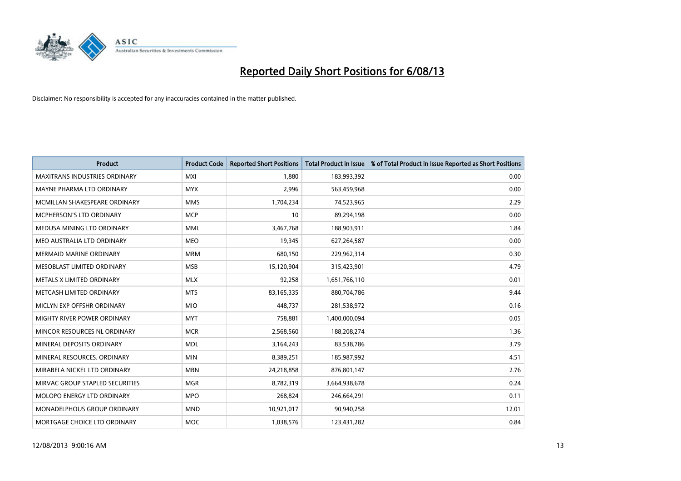

| <b>Product</b>                       | <b>Product Code</b> | <b>Reported Short Positions</b> | <b>Total Product in Issue</b> | % of Total Product in Issue Reported as Short Positions |
|--------------------------------------|---------------------|---------------------------------|-------------------------------|---------------------------------------------------------|
| <b>MAXITRANS INDUSTRIES ORDINARY</b> | <b>MXI</b>          | 1.880                           | 183,993,392                   | 0.00                                                    |
| MAYNE PHARMA LTD ORDINARY            | <b>MYX</b>          | 2,996                           | 563,459,968                   | 0.00                                                    |
| MCMILLAN SHAKESPEARE ORDINARY        | <b>MMS</b>          | 1,704,234                       | 74,523,965                    | 2.29                                                    |
| MCPHERSON'S LTD ORDINARY             | <b>MCP</b>          | 10                              | 89,294,198                    | 0.00                                                    |
| MEDUSA MINING LTD ORDINARY           | <b>MML</b>          | 3,467,768                       | 188,903,911                   | 1.84                                                    |
| MEO AUSTRALIA LTD ORDINARY           | <b>MEO</b>          | 19,345                          | 627,264,587                   | 0.00                                                    |
| MERMAID MARINE ORDINARY              | <b>MRM</b>          | 680,150                         | 229,962,314                   | 0.30                                                    |
| MESOBLAST LIMITED ORDINARY           | <b>MSB</b>          | 15,120,904                      | 315,423,901                   | 4.79                                                    |
| METALS X LIMITED ORDINARY            | <b>MLX</b>          | 92,258                          | 1,651,766,110                 | 0.01                                                    |
| METCASH LIMITED ORDINARY             | <b>MTS</b>          | 83,165,335                      | 880,704,786                   | 9.44                                                    |
| MICLYN EXP OFFSHR ORDINARY           | <b>MIO</b>          | 448,737                         | 281,538,972                   | 0.16                                                    |
| MIGHTY RIVER POWER ORDINARY          | <b>MYT</b>          | 758,881                         | 1,400,000,094                 | 0.05                                                    |
| MINCOR RESOURCES NL ORDINARY         | <b>MCR</b>          | 2,568,560                       | 188,208,274                   | 1.36                                                    |
| MINERAL DEPOSITS ORDINARY            | <b>MDL</b>          | 3,164,243                       | 83,538,786                    | 3.79                                                    |
| MINERAL RESOURCES, ORDINARY          | <b>MIN</b>          | 8,389,251                       | 185,987,992                   | 4.51                                                    |
| MIRABELA NICKEL LTD ORDINARY         | <b>MBN</b>          | 24,218,858                      | 876,801,147                   | 2.76                                                    |
| MIRVAC GROUP STAPLED SECURITIES      | <b>MGR</b>          | 8,782,319                       | 3,664,938,678                 | 0.24                                                    |
| MOLOPO ENERGY LTD ORDINARY           | <b>MPO</b>          | 268,824                         | 246,664,291                   | 0.11                                                    |
| MONADELPHOUS GROUP ORDINARY          | <b>MND</b>          | 10,921,017                      | 90,940,258                    | 12.01                                                   |
| MORTGAGE CHOICE LTD ORDINARY         | <b>MOC</b>          | 1,038,576                       | 123,431,282                   | 0.84                                                    |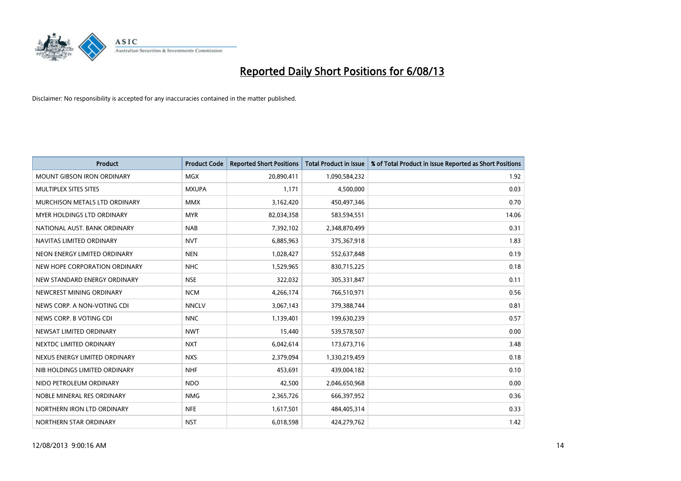

| <b>Product</b>                    | <b>Product Code</b> | <b>Reported Short Positions</b> | <b>Total Product in Issue</b> | % of Total Product in Issue Reported as Short Positions |
|-----------------------------------|---------------------|---------------------------------|-------------------------------|---------------------------------------------------------|
| <b>MOUNT GIBSON IRON ORDINARY</b> | MGX                 | 20,890,411                      | 1,090,584,232                 | 1.92                                                    |
| MULTIPLEX SITES SITES             | <b>MXUPA</b>        | 1,171                           | 4,500,000                     | 0.03                                                    |
| MURCHISON METALS LTD ORDINARY     | <b>MMX</b>          | 3,162,420                       | 450,497,346                   | 0.70                                                    |
| MYER HOLDINGS LTD ORDINARY        | <b>MYR</b>          | 82,034,358                      | 583,594,551                   | 14.06                                                   |
| NATIONAL AUST, BANK ORDINARY      | <b>NAB</b>          | 7,392,102                       | 2,348,870,499                 | 0.31                                                    |
| NAVITAS LIMITED ORDINARY          | <b>NVT</b>          | 6,885,963                       | 375,367,918                   | 1.83                                                    |
| NEON ENERGY LIMITED ORDINARY      | <b>NEN</b>          | 1,028,427                       | 552,637,848                   | 0.19                                                    |
| NEW HOPE CORPORATION ORDINARY     | <b>NHC</b>          | 1,529,965                       | 830,715,225                   | 0.18                                                    |
| NEW STANDARD ENERGY ORDINARY      | <b>NSE</b>          | 322,032                         | 305,331,847                   | 0.11                                                    |
| NEWCREST MINING ORDINARY          | <b>NCM</b>          | 4,266,174                       | 766,510,971                   | 0.56                                                    |
| NEWS CORP. A NON-VOTING CDI       | <b>NNCLV</b>        | 3,067,143                       | 379,388,744                   | 0.81                                                    |
| NEWS CORP. B VOTING CDI           | <b>NNC</b>          | 1,139,401                       | 199,630,239                   | 0.57                                                    |
| NEWSAT LIMITED ORDINARY           | <b>NWT</b>          | 15,440                          | 539,578,507                   | 0.00                                                    |
| NEXTDC LIMITED ORDINARY           | <b>NXT</b>          | 6,042,614                       | 173,673,716                   | 3.48                                                    |
| NEXUS ENERGY LIMITED ORDINARY     | <b>NXS</b>          | 2,379,094                       | 1,330,219,459                 | 0.18                                                    |
| NIB HOLDINGS LIMITED ORDINARY     | <b>NHF</b>          | 453,691                         | 439,004,182                   | 0.10                                                    |
| NIDO PETROLEUM ORDINARY           | <b>NDO</b>          | 42,500                          | 2,046,650,968                 | 0.00                                                    |
| NOBLE MINERAL RES ORDINARY        | <b>NMG</b>          | 2,365,726                       | 666,397,952                   | 0.36                                                    |
| NORTHERN IRON LTD ORDINARY        | <b>NFE</b>          | 1,617,501                       | 484,405,314                   | 0.33                                                    |
| NORTHERN STAR ORDINARY            | <b>NST</b>          | 6,018,598                       | 424,279,762                   | 1.42                                                    |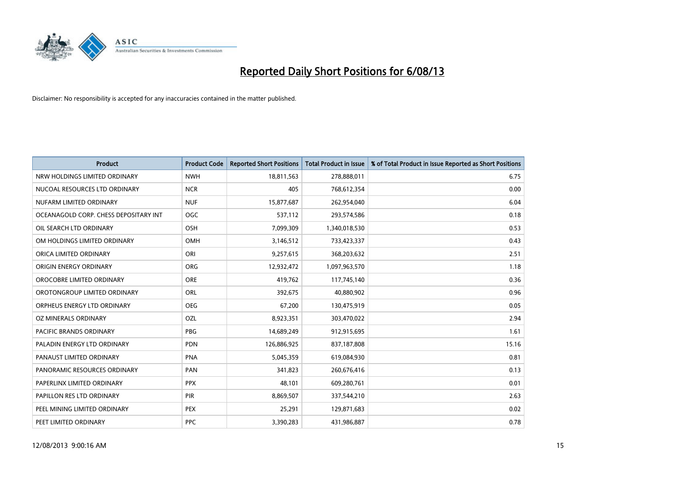

| <b>Product</b>                        | <b>Product Code</b> | <b>Reported Short Positions</b> | <b>Total Product in Issue</b> | % of Total Product in Issue Reported as Short Positions |
|---------------------------------------|---------------------|---------------------------------|-------------------------------|---------------------------------------------------------|
| NRW HOLDINGS LIMITED ORDINARY         | <b>NWH</b>          | 18,811,563                      | 278,888,011                   | 6.75                                                    |
| NUCOAL RESOURCES LTD ORDINARY         | <b>NCR</b>          | 405                             | 768,612,354                   | 0.00                                                    |
| NUFARM LIMITED ORDINARY               | <b>NUF</b>          | 15,877,687                      | 262,954,040                   | 6.04                                                    |
| OCEANAGOLD CORP. CHESS DEPOSITARY INT | <b>OGC</b>          | 537,112                         | 293,574,586                   | 0.18                                                    |
| OIL SEARCH LTD ORDINARY               | OSH                 | 7,099,309                       | 1,340,018,530                 | 0.53                                                    |
| OM HOLDINGS LIMITED ORDINARY          | OMH                 | 3,146,512                       | 733,423,337                   | 0.43                                                    |
| ORICA LIMITED ORDINARY                | ORI                 | 9,257,615                       | 368,203,632                   | 2.51                                                    |
| ORIGIN ENERGY ORDINARY                | ORG                 | 12,932,472                      | 1,097,963,570                 | 1.18                                                    |
| OROCOBRE LIMITED ORDINARY             | <b>ORE</b>          | 419,762                         | 117,745,140                   | 0.36                                                    |
| OROTONGROUP LIMITED ORDINARY          | ORL                 | 392,675                         | 40,880,902                    | 0.96                                                    |
| ORPHEUS ENERGY LTD ORDINARY           | <b>OEG</b>          | 67,200                          | 130,475,919                   | 0.05                                                    |
| OZ MINERALS ORDINARY                  | OZL                 | 8,923,351                       | 303,470,022                   | 2.94                                                    |
| PACIFIC BRANDS ORDINARY               | <b>PBG</b>          | 14,689,249                      | 912,915,695                   | 1.61                                                    |
| PALADIN ENERGY LTD ORDINARY           | <b>PDN</b>          | 126,886,925                     | 837,187,808                   | 15.16                                                   |
| PANAUST LIMITED ORDINARY              | <b>PNA</b>          | 5,045,359                       | 619,084,930                   | 0.81                                                    |
| PANORAMIC RESOURCES ORDINARY          | PAN                 | 341,823                         | 260,676,416                   | 0.13                                                    |
| PAPERLINX LIMITED ORDINARY            | <b>PPX</b>          | 48,101                          | 609,280,761                   | 0.01                                                    |
| PAPILLON RES LTD ORDINARY             | PIR                 | 8,869,507                       | 337,544,210                   | 2.63                                                    |
| PEEL MINING LIMITED ORDINARY          | <b>PEX</b>          | 25,291                          | 129,871,683                   | 0.02                                                    |
| PEET LIMITED ORDINARY                 | <b>PPC</b>          | 3,390,283                       | 431,986,887                   | 0.78                                                    |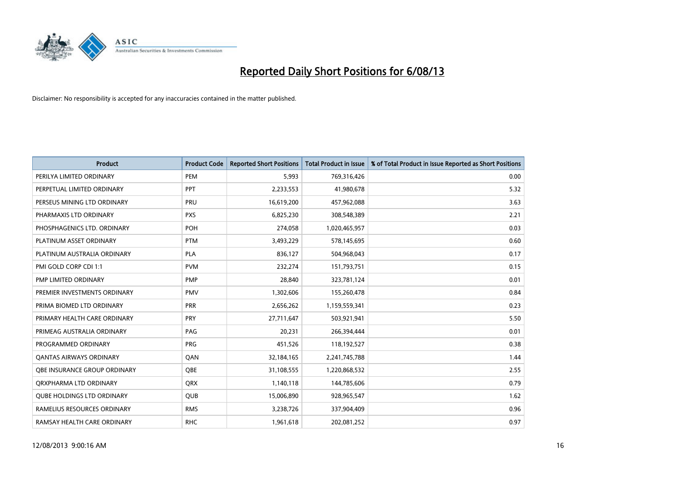

| <b>Product</b>                    | <b>Product Code</b> | <b>Reported Short Positions</b> | <b>Total Product in Issue</b> | % of Total Product in Issue Reported as Short Positions |
|-----------------------------------|---------------------|---------------------------------|-------------------------------|---------------------------------------------------------|
| PERILYA LIMITED ORDINARY          | PEM                 | 5,993                           | 769,316,426                   | 0.00                                                    |
| PERPETUAL LIMITED ORDINARY        | <b>PPT</b>          | 2,233,553                       | 41,980,678                    | 5.32                                                    |
| PERSEUS MINING LTD ORDINARY       | <b>PRU</b>          | 16,619,200                      | 457,962,088                   | 3.63                                                    |
| PHARMAXIS LTD ORDINARY            | <b>PXS</b>          | 6,825,230                       | 308,548,389                   | 2.21                                                    |
| PHOSPHAGENICS LTD. ORDINARY       | <b>POH</b>          | 274,058                         | 1,020,465,957                 | 0.03                                                    |
| PLATINUM ASSET ORDINARY           | <b>PTM</b>          | 3,493,229                       | 578,145,695                   | 0.60                                                    |
| PLATINUM AUSTRALIA ORDINARY       | <b>PLA</b>          | 836,127                         | 504,968,043                   | 0.17                                                    |
| PMI GOLD CORP CDI 1:1             | <b>PVM</b>          | 232,274                         | 151,793,751                   | 0.15                                                    |
| PMP LIMITED ORDINARY              | <b>PMP</b>          | 28,840                          | 323,781,124                   | 0.01                                                    |
| PREMIER INVESTMENTS ORDINARY      | <b>PMV</b>          | 1,302,606                       | 155,260,478                   | 0.84                                                    |
| PRIMA BIOMED LTD ORDINARY         | <b>PRR</b>          | 2,656,262                       | 1,159,559,341                 | 0.23                                                    |
| PRIMARY HEALTH CARE ORDINARY      | <b>PRY</b>          | 27,711,647                      | 503,921,941                   | 5.50                                                    |
| PRIMEAG AUSTRALIA ORDINARY        | PAG                 | 20,231                          | 266,394,444                   | 0.01                                                    |
| PROGRAMMED ORDINARY               | <b>PRG</b>          | 451,526                         | 118,192,527                   | 0.38                                                    |
| <b>QANTAS AIRWAYS ORDINARY</b>    | QAN                 | 32,184,165                      | 2,241,745,788                 | 1.44                                                    |
| OBE INSURANCE GROUP ORDINARY      | <b>OBE</b>          | 31,108,555                      | 1,220,868,532                 | 2.55                                                    |
| ORXPHARMA LTD ORDINARY            | <b>QRX</b>          | 1,140,118                       | 144,785,606                   | 0.79                                                    |
| <b>QUBE HOLDINGS LTD ORDINARY</b> | QUB                 | 15,006,890                      | 928,965,547                   | 1.62                                                    |
| RAMELIUS RESOURCES ORDINARY       | <b>RMS</b>          | 3,238,726                       | 337,904,409                   | 0.96                                                    |
| RAMSAY HEALTH CARE ORDINARY       | <b>RHC</b>          | 1,961,618                       | 202,081,252                   | 0.97                                                    |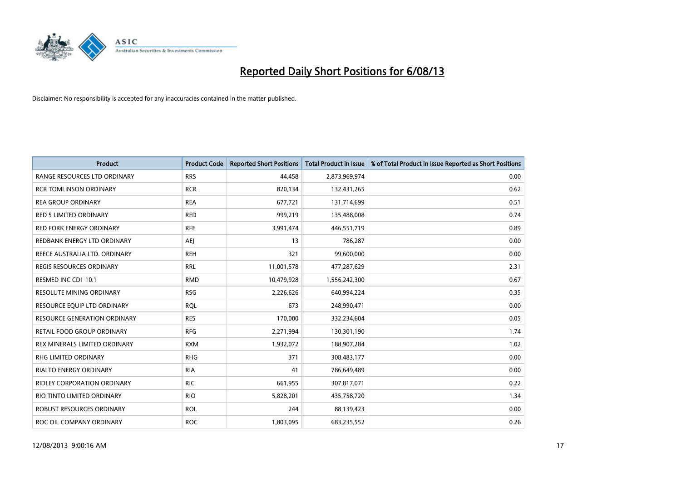

| <b>Product</b>                      | <b>Product Code</b> | <b>Reported Short Positions</b> | Total Product in Issue | % of Total Product in Issue Reported as Short Positions |
|-------------------------------------|---------------------|---------------------------------|------------------------|---------------------------------------------------------|
| RANGE RESOURCES LTD ORDINARY        | <b>RRS</b>          | 44,458                          | 2,873,969,974          | 0.00                                                    |
| <b>RCR TOMLINSON ORDINARY</b>       | <b>RCR</b>          | 820,134                         | 132,431,265            | 0.62                                                    |
| <b>REA GROUP ORDINARY</b>           | <b>REA</b>          | 677,721                         | 131,714,699            | 0.51                                                    |
| <b>RED 5 LIMITED ORDINARY</b>       | <b>RED</b>          | 999,219                         | 135,488,008            | 0.74                                                    |
| <b>RED FORK ENERGY ORDINARY</b>     | <b>RFE</b>          | 3,991,474                       | 446,551,719            | 0.89                                                    |
| REDBANK ENERGY LTD ORDINARY         | AEJ                 | 13                              | 786,287                | 0.00                                                    |
| REECE AUSTRALIA LTD. ORDINARY       | <b>REH</b>          | 321                             | 99,600,000             | 0.00                                                    |
| REGIS RESOURCES ORDINARY            | <b>RRL</b>          | 11,001,578                      | 477,287,629            | 2.31                                                    |
| RESMED INC CDI 10:1                 | <b>RMD</b>          | 10,479,928                      | 1,556,242,300          | 0.67                                                    |
| <b>RESOLUTE MINING ORDINARY</b>     | <b>RSG</b>          | 2,226,626                       | 640,994,224            | 0.35                                                    |
| RESOURCE EQUIP LTD ORDINARY         | <b>RQL</b>          | 673                             | 248,990,471            | 0.00                                                    |
| <b>RESOURCE GENERATION ORDINARY</b> | <b>RES</b>          | 170,000                         | 332,234,604            | 0.05                                                    |
| RETAIL FOOD GROUP ORDINARY          | <b>RFG</b>          | 2,271,994                       | 130,301,190            | 1.74                                                    |
| REX MINERALS LIMITED ORDINARY       | <b>RXM</b>          | 1,932,072                       | 188,907,284            | 1.02                                                    |
| <b>RHG LIMITED ORDINARY</b>         | <b>RHG</b>          | 371                             | 308,483,177            | 0.00                                                    |
| <b>RIALTO ENERGY ORDINARY</b>       | <b>RIA</b>          | 41                              | 786,649,489            | 0.00                                                    |
| RIDLEY CORPORATION ORDINARY         | <b>RIC</b>          | 661,955                         | 307,817,071            | 0.22                                                    |
| RIO TINTO LIMITED ORDINARY          | <b>RIO</b>          | 5,828,201                       | 435,758,720            | 1.34                                                    |
| ROBUST RESOURCES ORDINARY           | <b>ROL</b>          | 244                             | 88,139,423             | 0.00                                                    |
| ROC OIL COMPANY ORDINARY            | <b>ROC</b>          | 1,803,095                       | 683,235,552            | 0.26                                                    |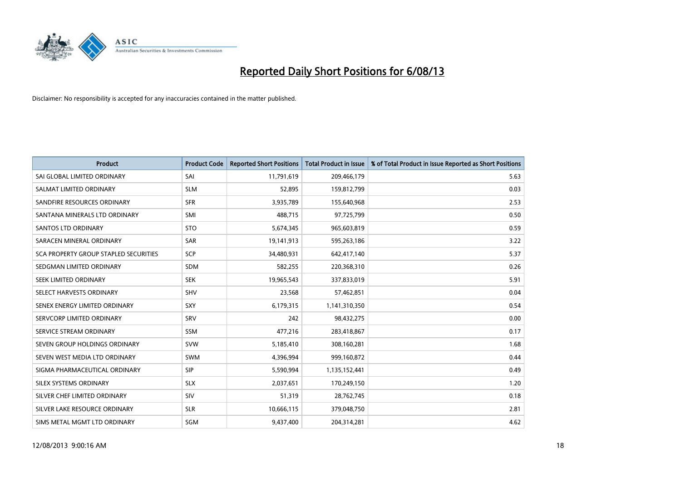

| <b>Product</b>                        | <b>Product Code</b> | <b>Reported Short Positions</b> | <b>Total Product in Issue</b> | % of Total Product in Issue Reported as Short Positions |
|---------------------------------------|---------------------|---------------------------------|-------------------------------|---------------------------------------------------------|
| SAI GLOBAL LIMITED ORDINARY           | SAI                 | 11,791,619                      | 209,466,179                   | 5.63                                                    |
| SALMAT LIMITED ORDINARY               | <b>SLM</b>          | 52,895                          | 159,812,799                   | 0.03                                                    |
| SANDFIRE RESOURCES ORDINARY           | <b>SFR</b>          | 3,935,789                       | 155,640,968                   | 2.53                                                    |
| SANTANA MINERALS LTD ORDINARY         | <b>SMI</b>          | 488,715                         | 97,725,799                    | 0.50                                                    |
| <b>SANTOS LTD ORDINARY</b>            | <b>STO</b>          | 5,674,345                       | 965,603,819                   | 0.59                                                    |
| SARACEN MINERAL ORDINARY              | <b>SAR</b>          | 19,141,913                      | 595,263,186                   | 3.22                                                    |
| SCA PROPERTY GROUP STAPLED SECURITIES | <b>SCP</b>          | 34,480,931                      | 642,417,140                   | 5.37                                                    |
| SEDGMAN LIMITED ORDINARY              | <b>SDM</b>          | 582,255                         | 220,368,310                   | 0.26                                                    |
| SEEK LIMITED ORDINARY                 | <b>SEK</b>          | 19,965,543                      | 337,833,019                   | 5.91                                                    |
| SELECT HARVESTS ORDINARY              | <b>SHV</b>          | 23,568                          | 57,462,851                    | 0.04                                                    |
| SENEX ENERGY LIMITED ORDINARY         | <b>SXY</b>          | 6,179,315                       | 1,141,310,350                 | 0.54                                                    |
| SERVCORP LIMITED ORDINARY             | SRV                 | 242                             | 98,432,275                    | 0.00                                                    |
| SERVICE STREAM ORDINARY               | SSM                 | 477,216                         | 283,418,867                   | 0.17                                                    |
| SEVEN GROUP HOLDINGS ORDINARY         | <b>SVW</b>          | 5,185,410                       | 308,160,281                   | 1.68                                                    |
| SEVEN WEST MEDIA LTD ORDINARY         | <b>SWM</b>          | 4,396,994                       | 999,160,872                   | 0.44                                                    |
| SIGMA PHARMACEUTICAL ORDINARY         | <b>SIP</b>          | 5,590,994                       | 1,135,152,441                 | 0.49                                                    |
| SILEX SYSTEMS ORDINARY                | <b>SLX</b>          | 2,037,651                       | 170,249,150                   | 1.20                                                    |
| SILVER CHEF LIMITED ORDINARY          | <b>SIV</b>          | 51,319                          | 28,762,745                    | 0.18                                                    |
| SILVER LAKE RESOURCE ORDINARY         | <b>SLR</b>          | 10,666,115                      | 379,048,750                   | 2.81                                                    |
| SIMS METAL MGMT LTD ORDINARY          | <b>SGM</b>          | 9,437,400                       | 204,314,281                   | 4.62                                                    |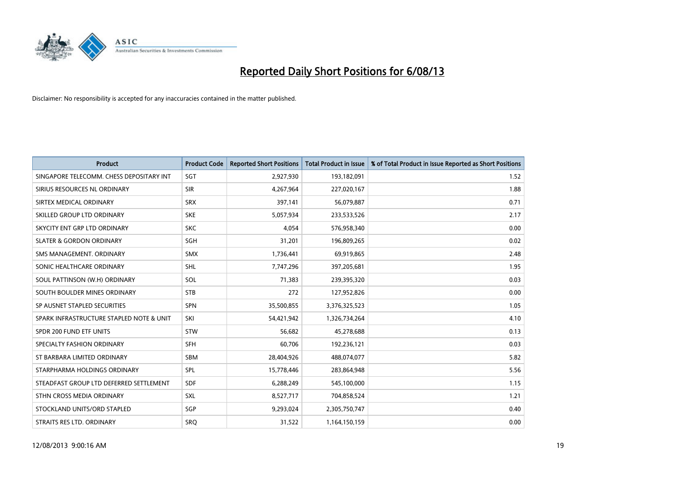

| <b>Product</b>                           | <b>Product Code</b> | <b>Reported Short Positions</b> | <b>Total Product in Issue</b> | % of Total Product in Issue Reported as Short Positions |
|------------------------------------------|---------------------|---------------------------------|-------------------------------|---------------------------------------------------------|
| SINGAPORE TELECOMM. CHESS DEPOSITARY INT | SGT                 | 2,927,930                       | 193,182,091                   | 1.52                                                    |
| SIRIUS RESOURCES NL ORDINARY             | <b>SIR</b>          | 4,267,964                       | 227,020,167                   | 1.88                                                    |
| SIRTEX MEDICAL ORDINARY                  | <b>SRX</b>          | 397,141                         | 56,079,887                    | 0.71                                                    |
| SKILLED GROUP LTD ORDINARY               | <b>SKE</b>          | 5,057,934                       | 233,533,526                   | 2.17                                                    |
| SKYCITY ENT GRP LTD ORDINARY             | <b>SKC</b>          | 4,054                           | 576,958,340                   | 0.00                                                    |
| <b>SLATER &amp; GORDON ORDINARY</b>      | SGH                 | 31,201                          | 196,809,265                   | 0.02                                                    |
| SMS MANAGEMENT, ORDINARY                 | <b>SMX</b>          | 1,736,441                       | 69,919,865                    | 2.48                                                    |
| SONIC HEALTHCARE ORDINARY                | <b>SHL</b>          | 7,747,296                       | 397,205,681                   | 1.95                                                    |
| SOUL PATTINSON (W.H) ORDINARY            | SOL                 | 71,383                          | 239,395,320                   | 0.03                                                    |
| SOUTH BOULDER MINES ORDINARY             | <b>STB</b>          | 272                             | 127,952,826                   | 0.00                                                    |
| SP AUSNET STAPLED SECURITIES             | SPN                 | 35,500,855                      | 3,376,325,523                 | 1.05                                                    |
| SPARK INFRASTRUCTURE STAPLED NOTE & UNIT | SKI                 | 54,421,942                      | 1,326,734,264                 | 4.10                                                    |
| SPDR 200 FUND ETF UNITS                  | <b>STW</b>          | 56,682                          | 45,278,688                    | 0.13                                                    |
| SPECIALTY FASHION ORDINARY               | <b>SFH</b>          | 60,706                          | 192,236,121                   | 0.03                                                    |
| ST BARBARA LIMITED ORDINARY              | <b>SBM</b>          | 28,404,926                      | 488,074,077                   | 5.82                                                    |
| STARPHARMA HOLDINGS ORDINARY             | <b>SPL</b>          | 15,778,446                      | 283,864,948                   | 5.56                                                    |
| STEADFAST GROUP LTD DEFERRED SETTLEMENT  | <b>SDF</b>          | 6,288,249                       | 545,100,000                   | 1.15                                                    |
| STHN CROSS MEDIA ORDINARY                | SXL                 | 8,527,717                       | 704,858,524                   | 1.21                                                    |
| STOCKLAND UNITS/ORD STAPLED              | SGP                 | 9,293,024                       | 2,305,750,747                 | 0.40                                                    |
| STRAITS RES LTD. ORDINARY                | <b>SRQ</b>          | 31,522                          | 1,164,150,159                 | 0.00                                                    |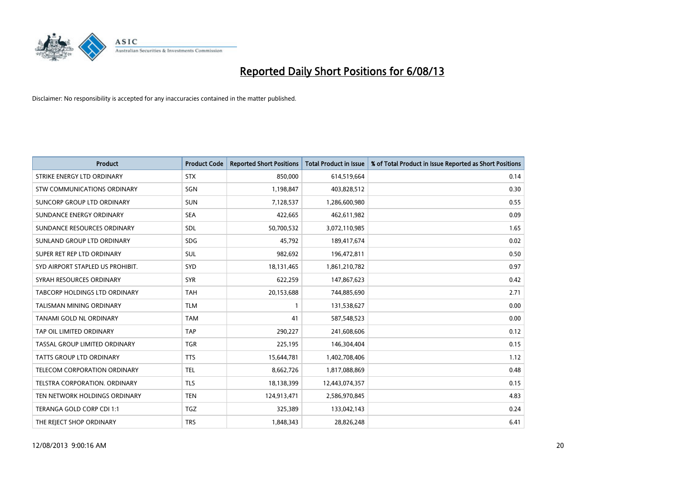

| <b>Product</b>                   | <b>Product Code</b> | <b>Reported Short Positions</b> | <b>Total Product in Issue</b> | % of Total Product in Issue Reported as Short Positions |
|----------------------------------|---------------------|---------------------------------|-------------------------------|---------------------------------------------------------|
| STRIKE ENERGY LTD ORDINARY       | <b>STX</b>          | 850,000                         | 614,519,664                   | 0.14                                                    |
| STW COMMUNICATIONS ORDINARY      | SGN                 | 1,198,847                       | 403,828,512                   | 0.30                                                    |
| SUNCORP GROUP LTD ORDINARY       | <b>SUN</b>          | 7,128,537                       | 1,286,600,980                 | 0.55                                                    |
| SUNDANCE ENERGY ORDINARY         | <b>SEA</b>          | 422,665                         | 462,611,982                   | 0.09                                                    |
| SUNDANCE RESOURCES ORDINARY      | SDL                 | 50,700,532                      | 3,072,110,985                 | 1.65                                                    |
| SUNLAND GROUP LTD ORDINARY       | <b>SDG</b>          | 45,792                          | 189,417,674                   | 0.02                                                    |
| SUPER RET REP LTD ORDINARY       | SUL                 | 982,692                         | 196,472,811                   | 0.50                                                    |
| SYD AIRPORT STAPLED US PROHIBIT. | SYD                 | 18,131,465                      | 1,861,210,782                 | 0.97                                                    |
| SYRAH RESOURCES ORDINARY         | <b>SYR</b>          | 622,259                         | 147,867,623                   | 0.42                                                    |
| TABCORP HOLDINGS LTD ORDINARY    | <b>TAH</b>          | 20,153,688                      | 744,885,690                   | 2.71                                                    |
| <b>TALISMAN MINING ORDINARY</b>  | <b>TLM</b>          | 1                               | 131,538,627                   | 0.00                                                    |
| TANAMI GOLD NL ORDINARY          | <b>TAM</b>          | 41                              | 587,548,523                   | 0.00                                                    |
| TAP OIL LIMITED ORDINARY         | <b>TAP</b>          | 290,227                         | 241,608,606                   | 0.12                                                    |
| TASSAL GROUP LIMITED ORDINARY    | <b>TGR</b>          | 225,195                         | 146,304,404                   | 0.15                                                    |
| <b>TATTS GROUP LTD ORDINARY</b>  | <b>TTS</b>          | 15,644,781                      | 1,402,708,406                 | 1.12                                                    |
| TELECOM CORPORATION ORDINARY     | <b>TEL</b>          | 8,662,726                       | 1,817,088,869                 | 0.48                                                    |
| TELSTRA CORPORATION. ORDINARY    | <b>TLS</b>          | 18,138,399                      | 12,443,074,357                | 0.15                                                    |
| TEN NETWORK HOLDINGS ORDINARY    | <b>TEN</b>          | 124,913,471                     | 2,586,970,845                 | 4.83                                                    |
| TERANGA GOLD CORP CDI 1:1        | <b>TGZ</b>          | 325,389                         | 133,042,143                   | 0.24                                                    |
| THE REJECT SHOP ORDINARY         | <b>TRS</b>          | 1,848,343                       | 28,826,248                    | 6.41                                                    |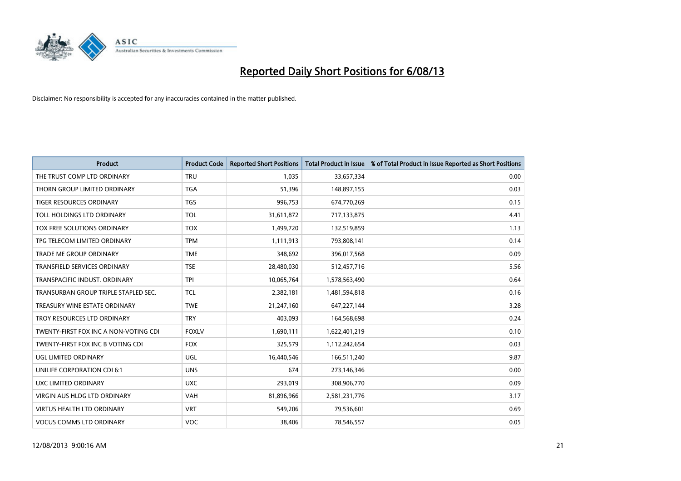

| <b>Product</b>                        | <b>Product Code</b> | <b>Reported Short Positions</b> | <b>Total Product in Issue</b> | % of Total Product in Issue Reported as Short Positions |
|---------------------------------------|---------------------|---------------------------------|-------------------------------|---------------------------------------------------------|
| THE TRUST COMP LTD ORDINARY           | <b>TRU</b>          | 1.035                           | 33,657,334                    | 0.00                                                    |
| THORN GROUP LIMITED ORDINARY          | <b>TGA</b>          | 51,396                          | 148,897,155                   | 0.03                                                    |
| <b>TIGER RESOURCES ORDINARY</b>       | <b>TGS</b>          | 996,753                         | 674,770,269                   | 0.15                                                    |
| TOLL HOLDINGS LTD ORDINARY            | <b>TOL</b>          | 31,611,872                      | 717,133,875                   | 4.41                                                    |
| <b>TOX FREE SOLUTIONS ORDINARY</b>    | <b>TOX</b>          | 1,499,720                       | 132,519,859                   | 1.13                                                    |
| TPG TELECOM LIMITED ORDINARY          | <b>TPM</b>          | 1,111,913                       | 793,808,141                   | 0.14                                                    |
| TRADE ME GROUP ORDINARY               | <b>TME</b>          | 348,692                         | 396,017,568                   | 0.09                                                    |
| <b>TRANSFIELD SERVICES ORDINARY</b>   | <b>TSE</b>          | 28,480,030                      | 512,457,716                   | 5.56                                                    |
| TRANSPACIFIC INDUST, ORDINARY         | <b>TPI</b>          | 10,065,764                      | 1,578,563,490                 | 0.64                                                    |
| TRANSURBAN GROUP TRIPLE STAPLED SEC.  | <b>TCL</b>          | 2,382,181                       | 1,481,594,818                 | 0.16                                                    |
| TREASURY WINE ESTATE ORDINARY         | <b>TWE</b>          | 21,247,160                      | 647,227,144                   | 3.28                                                    |
| TROY RESOURCES LTD ORDINARY           | <b>TRY</b>          | 403,093                         | 164,568,698                   | 0.24                                                    |
| TWENTY-FIRST FOX INC A NON-VOTING CDI | <b>FOXLV</b>        | 1,690,111                       | 1,622,401,219                 | 0.10                                                    |
| TWENTY-FIRST FOX INC B VOTING CDI     | <b>FOX</b>          | 325,579                         | 1,112,242,654                 | 0.03                                                    |
| UGL LIMITED ORDINARY                  | UGL                 | 16,440,546                      | 166,511,240                   | 9.87                                                    |
| UNILIFE CORPORATION CDI 6:1           | <b>UNS</b>          | 674                             | 273,146,346                   | 0.00                                                    |
| UXC LIMITED ORDINARY                  | <b>UXC</b>          | 293,019                         | 308,906,770                   | 0.09                                                    |
| <b>VIRGIN AUS HLDG LTD ORDINARY</b>   | <b>VAH</b>          | 81,896,966                      | 2,581,231,776                 | 3.17                                                    |
| <b>VIRTUS HEALTH LTD ORDINARY</b>     | <b>VRT</b>          | 549,206                         | 79,536,601                    | 0.69                                                    |
| <b>VOCUS COMMS LTD ORDINARY</b>       | VOC                 | 38,406                          | 78,546,557                    | 0.05                                                    |